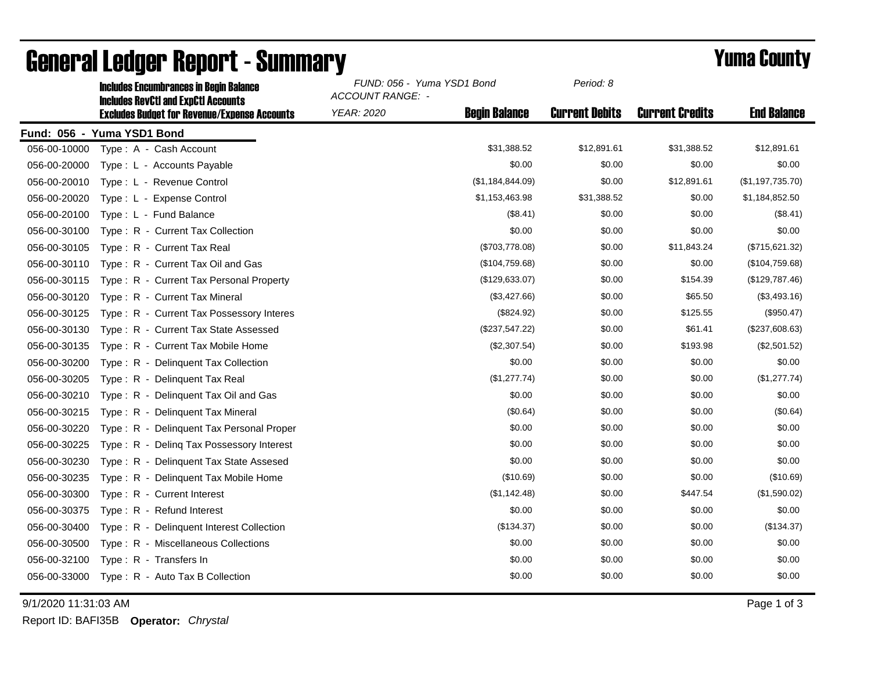|              | IIIGIUUSS EIIGUINDI "ANGSS IN DEUNI DAIANGS<br><b>Includes RevCtI and ExpCtI Accounts</b> | <b>ACCOUNT RANGE: -</b> |                      |                       |                        |                    |
|--------------|-------------------------------------------------------------------------------------------|-------------------------|----------------------|-----------------------|------------------------|--------------------|
|              | <b>Excludes Budget for Revenue/Expense Accounts</b>                                       | YEAR: 2020              | <b>Begin Balance</b> | <b>Current Debits</b> | <b>Current Credits</b> | <b>End Balance</b> |
|              | Fund: 056 - Yuma YSD1 Bond                                                                |                         |                      |                       |                        |                    |
| 056-00-10000 | Type: A - Cash Account                                                                    |                         | \$31,388.52          | \$12,891.61           | \$31,388.52            | \$12,891.61        |
| 056-00-20000 | Type: L - Accounts Payable                                                                |                         | \$0.00               | \$0.00                | \$0.00                 | \$0.00             |
| 056-00-20010 | Type: L - Revenue Control                                                                 |                         | (\$1,184,844.09)     | \$0.00                | \$12,891.61            | (\$1,197,735.70)   |
| 056-00-20020 | Type: L - Expense Control                                                                 |                         | \$1,153,463.98       | \$31,388.52           | \$0.00                 | \$1,184,852.50     |
| 056-00-20100 | Type: L - Fund Balance                                                                    |                         | (\$8.41)             | \$0.00                | \$0.00                 | (\$8.41)           |
| 056-00-30100 | Type: R - Current Tax Collection                                                          |                         | \$0.00               | \$0.00                | \$0.00                 | \$0.00             |
| 056-00-30105 | Type: R - Current Tax Real                                                                |                         | (\$703,778.08)       | \$0.00                | \$11,843.24            | (\$715,621.32)     |
| 056-00-30110 | Type: R - Current Tax Oil and Gas                                                         |                         | (\$104,759.68)       | \$0.00                | \$0.00                 | (\$104,759.68)     |
| 056-00-30115 | Type: R - Current Tax Personal Property                                                   |                         | (\$129,633.07)       | \$0.00                | \$154.39               | (\$129,787.46)     |
| 056-00-30120 | Type: R - Current Tax Mineral                                                             |                         | (\$3,427.66)         | \$0.00                | \$65.50                | (\$3,493.16)       |
| 056-00-30125 | Type: R - Current Tax Possessory Interes                                                  |                         | (\$824.92)           | \$0.00                | \$125.55               | (\$950.47)         |
| 056-00-30130 | Type: R - Current Tax State Assessed                                                      |                         | (\$237,547.22)       | \$0.00                | \$61.41                | (\$237,608.63)     |
| 056-00-30135 | Type: R - Current Tax Mobile Home                                                         |                         | (\$2,307.54)         | \$0.00                | \$193.98               | (\$2,501.52)       |
| 056-00-30200 | Type: R - Delinguent Tax Collection                                                       |                         | \$0.00               | \$0.00                | \$0.00                 | \$0.00             |
| 056-00-30205 | Type: R - Delinquent Tax Real                                                             |                         | (\$1,277.74)         | \$0.00                | \$0.00                 | (\$1,277.74)       |
| 056-00-30210 | Type: R - Delinquent Tax Oil and Gas                                                      |                         | \$0.00               | \$0.00                | \$0.00                 | \$0.00             |
| 056-00-30215 | Type: R - Delinguent Tax Mineral                                                          |                         | (\$0.64)             | \$0.00                | \$0.00                 | (\$0.64)           |
| 056-00-30220 | Type: R - Delinquent Tax Personal Proper                                                  |                         | \$0.00               | \$0.00                | \$0.00                 | \$0.00             |
| 056-00-30225 | Type: R - Deling Tax Possessory Interest                                                  |                         | \$0.00               | \$0.00                | \$0.00                 | \$0.00             |
| 056-00-30230 | Type: R - Delinquent Tax State Assesed                                                    |                         | \$0.00               | \$0.00                | \$0.00                 | \$0.00             |
| 056-00-30235 | Type: R - Delinquent Tax Mobile Home                                                      |                         | (\$10.69)            | \$0.00                | \$0.00                 | (\$10.69)          |
| 056-00-30300 | Type: R - Current Interest                                                                |                         | (\$1,142.48)         | \$0.00                | \$447.54               | (\$1,590.02)       |
| 056-00-30375 | Type: R - Refund Interest                                                                 |                         | \$0.00               | \$0.00                | \$0.00                 | \$0.00             |
| 056-00-30400 | Type: R - Delinquent Interest Collection                                                  |                         | (\$134.37)           | \$0.00                | \$0.00                 | (\$134.37)         |
| 056-00-30500 | Type: R - Miscellaneous Collections                                                       |                         | \$0.00               | \$0.00                | \$0.00                 | \$0.00             |
| 056-00-32100 | Type: R - Transfers In                                                                    |                         | \$0.00               | \$0.00                | \$0.00                 | \$0.00             |
| 056-00-33000 | Type: R - Auto Tax B Collection                                                           |                         | \$0.00               | \$0.00                | \$0.00                 | \$0.00             |

## General Ledger Report - Summary **Example 2018** Yuma County

Includes Encumbrances in Begin Balance *FUND: 056 - Yuma YSD1 Bond*

9/1/2020 11:31:03 AM Page 1 of 3

Report ID: BAFI35B **Operator:** *Chrystal*

*Period: 8*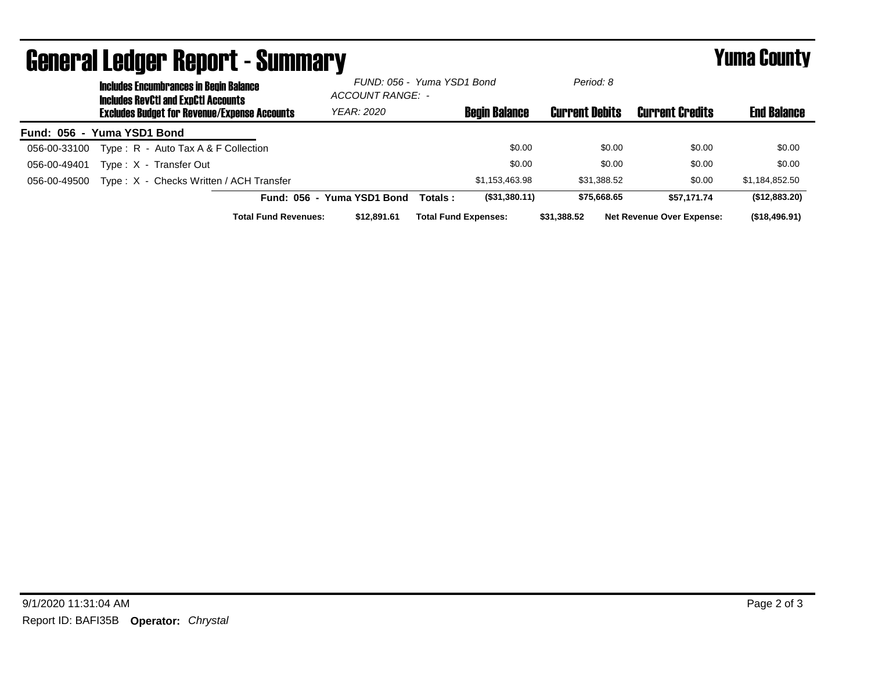| priigi.gi fanñal. Venni. ( - 9miniigi.).<br>I UIIIA VUUIILY                                 |                             |                                                |                             |              |                       |                                  |                    |  |
|---------------------------------------------------------------------------------------------|-----------------------------|------------------------------------------------|-----------------------------|--------------|-----------------------|----------------------------------|--------------------|--|
| <b>Includes Encumbrances in Begin Balance</b><br><b>Includes RevCtI and ExpCtI Accounts</b> |                             | FUND: 056 - Yuma YSD1 Bond<br>ACCOUNT RANGE: - |                             |              | Period: 8             |                                  |                    |  |
| <b>Excludes Budget for Revenue/Expense Accounts</b>                                         |                             | <b>YEAR: 2020</b>                              | <b>Begin Balance</b>        |              | <b>Current Debits</b> | <b>Current Credits</b>           | <b>End Balance</b> |  |
| Fund: 056 - Yuma YSD1 Bond                                                                  |                             |                                                |                             |              |                       |                                  |                    |  |
| Type: R - Auto Tax A & F Collection<br>056-00-33100                                         |                             |                                                |                             | \$0.00       | \$0.00                | \$0.00                           | \$0.00             |  |
| Type: X - Transfer Out<br>056-00-49401                                                      |                             |                                                |                             | \$0.00       | \$0.00                | \$0.00                           | \$0.00             |  |
| Type: X - Checks Written / ACH Transfer<br>056-00-49500                                     |                             |                                                | \$1.153.463.98              |              | \$31.388.52           | \$0.00                           | \$1,184,852.50     |  |
|                                                                                             | Fund: 056 - Yuma YSD1 Bond  |                                                | Totals :                    | (S31,380.11) | \$75,668.65           | \$57.171.74                      | (\$12,883.20)      |  |
|                                                                                             | <b>Total Fund Revenues:</b> | \$12,891.61                                    | <b>Total Fund Expenses:</b> | \$31,388,52  |                       | <b>Net Revenue Over Expense:</b> | (\$18,496.91)      |  |

## Pononal Ledger Donont - Cummany Vuma County - Summary Yuma County